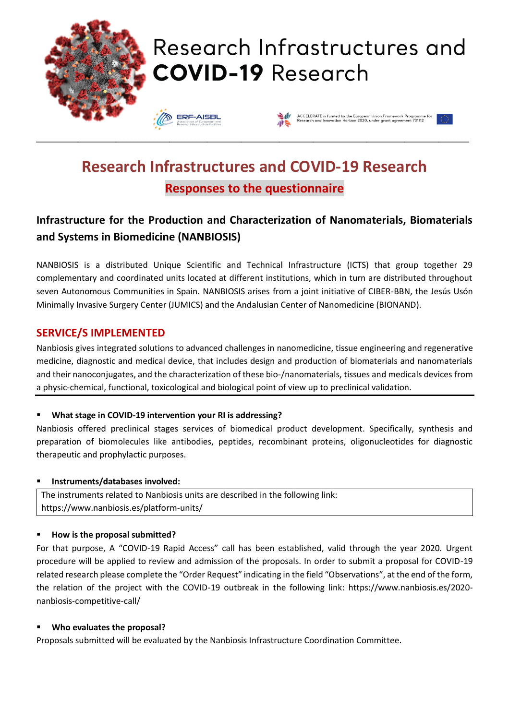

# **Research Infrastructures and COVID-19 Research Responses to the questionnaire**

# **Infrastructure for the Production and Characterization of Nanomaterials, Biomaterials and Systems in Biomedicine (NANBIOSIS)**

NANBIOSIS is a distributed Unique Scientific and Technical Infrastructure (ICTS) that group together 29 complementary and coordinated units located at different institutions, which in turn are distributed throughout seven Autonomous Communities in Spain. NANBIOSIS arises from a joint initiative of CIBER-BBN, the Jesús Usón Minimally Invasive Surgery Center (JUMICS) and the Andalusian Center of Nanomedicine (BIONAND).

# **SERVICE/S IMPLEMENTED**

Nanbiosis gives integrated solutions to advanced challenges in nanomedicine, tissue engineering and regenerative medicine, diagnostic and medical device, that includes design and production of biomaterials and nanomaterials and their nanoconjugates, and the characterization of these bio-/nanomaterials, tissues and medicals devices from a physic-chemical, functional, toxicological and biological point of view up to preclinical validation.

#### ▪ **What stage in COVID-19 intervention your RI is addressing?**

Nanbiosis offered preclinical stages services of biomedical product development. Specifically, synthesis and preparation of biomolecules like antibodies, peptides, recombinant proteins, oligonucleotides for diagnostic therapeutic and prophylactic purposes.

#### ▪ **Instruments/databases involved:**

The instruments related to Nanbiosis units are described in the following link: https://www.nanbiosis.es/platform-units/

#### ▪ **How is the proposal submitted?**

For that purpose, A "COVID-19 Rapid Access" call has been established, valid through the year 2020. Urgent procedure will be applied to review and admission of the proposals. In order to submit a proposal for COVID-19 related research please complete the "Order Request" indicating in the field "Observations", at the end of the form, the relation of the project with the COVID-19 outbreak in the following link: https://www.nanbiosis.es/2020 nanbiosis-competitive-call/

#### ▪ **Who evaluates the proposal?**

Proposals submitted will be evaluated by the Nanbiosis Infrastructure Coordination Committee.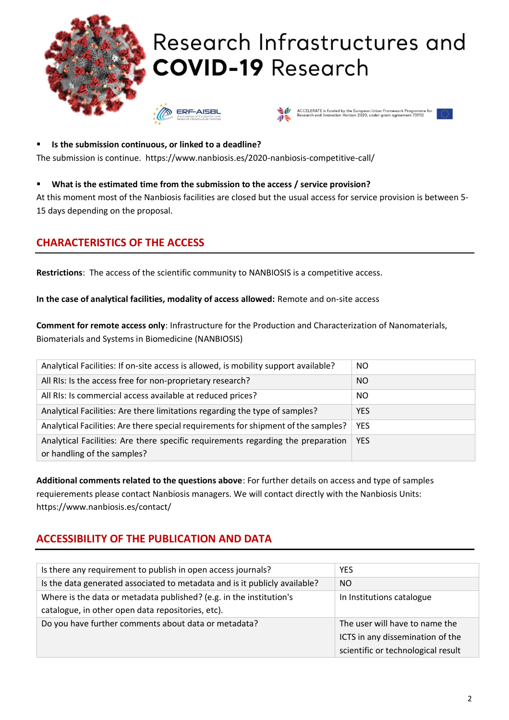

▪ **Is the submission continuous, or linked to a deadline?** The submission is continue. https://www.nanbiosis.es/2020-nanbiosis-competitive-call/

#### ▪ **What is the estimated time from the submission to the access / service provision?**

At this moment most of the Nanbiosis facilities are closed but the usual access for service provision is between 5- 15 days depending on the proposal.

### **CHARACTERISTICS OF THE ACCESS**

**Restrictions**: The access of the scientific community to NANBIOSIS is a competitive access.

**In the case of analytical facilities, modality of access allowed:** Remote and on-site access

**Comment for remote access only**: Infrastructure for the Production and Characterization of Nanomaterials, Biomaterials and Systems in Biomedicine (NANBIOSIS)

| Analytical Facilities: If on-site access is allowed, is mobility support available?                             | NO.        |
|-----------------------------------------------------------------------------------------------------------------|------------|
| All RIs: Is the access free for non-proprietary research?                                                       | NO         |
| All RIs: Is commercial access available at reduced prices?                                                      | NO.        |
| Analytical Facilities: Are there limitations regarding the type of samples?                                     | <b>YES</b> |
| Analytical Facilities: Are there special requirements for shipment of the samples?                              | <b>YES</b> |
| Analytical Facilities: Are there specific requirements regarding the preparation<br>or handling of the samples? | <b>YES</b> |

**Additional comments related to the questions above**: For further details on access and type of samples requierements please contact Nanbiosis managers. We will contact directly with the Nanbiosis Units: https://www.nanbiosis.es/contact/

# **ACCESSIBILITY OF THE PUBLICATION AND DATA**

| Is there any requirement to publish in open access journals?               | <b>YES</b>                         |
|----------------------------------------------------------------------------|------------------------------------|
| Is the data generated associated to metadata and is it publicly available? | NO                                 |
| Where is the data or metadata published? (e.g. in the institution's        | In Institutions catalogue          |
| catalogue, in other open data repositories, etc).                          |                                    |
| Do you have further comments about data or metadata?                       | The user will have to name the     |
|                                                                            | ICTS in any dissemination of the   |
|                                                                            | scientific or technological result |